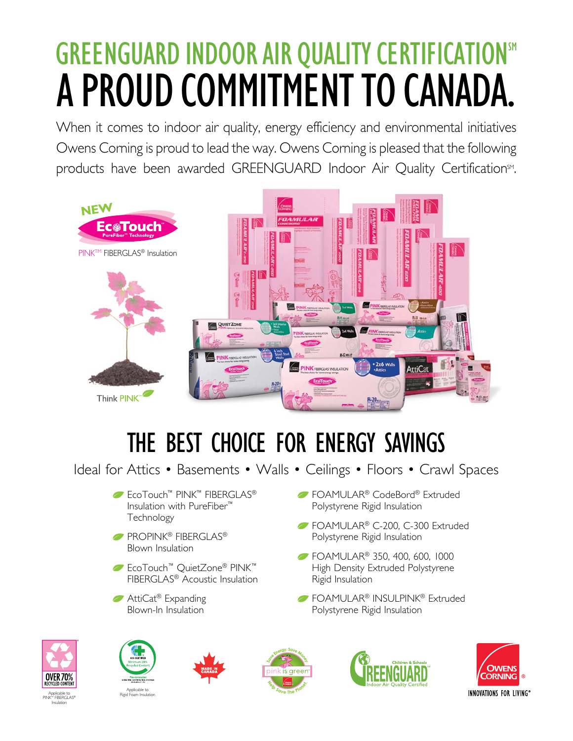## GREENGUARD INDOOR AIR QUALITY CERTIFICATION<sup>SM</sup> A PROUD COMMITMENT TO CANADA.

When it comes to indoor air quality, energy efficiency and environmental initiatives Owens Corning is proud to lead the way. Owens Corning is pleased that the following products have been awarded GREENGUARD Indoor Air Quality Certification<sup>SM</sup>.



## THE BEST CHOICE FOR ENERGY SAVINGS

Ideal for Attics • Basements • Walls • Ceilings • Floors • Crawl Spaces

- EcoTouch™ PINK™ FIBERGLAS® Insulation with PureFiber™ Technology
- PROPINK<sup>®</sup> FIBERGLAS<sup>®</sup> Blown Insulation
- EcoTouch™ QuietZone® PINK™ FIBERGLAS® Acoustic Insulation
- **■** AttiCat<sup>®</sup> Expanding Blown-In Insulation
- *►***FOAMULAR<sup>®</sup> CodeBord® Extruded** Polystyrene Rigid Insulation
- FOAMULAR® C-200, C-300 Extruded Polystyrene Rigid Insulation
- **FOAMULAR<sup>®</sup> 350, 400, 600, 1000** High Density Extruded Polystyrene Rigid Insulation
- **FOAMULAR® INSULPINK® Extruded** Polystyrene Rigid Insulation